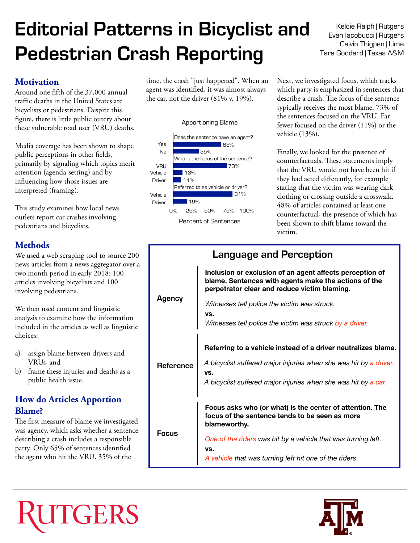# **Editorial Patterns in Bicyclist and Pedestrian Crash Reporting**

#### **Motivation**

Around one ffth of the 37,000 annual traffic deaths in the United States are bicyclists or pedestrians. Despite this fgure, there is little public outcry about these vulnerable road user (VRU) deaths.

Media coverage has been shown to shape public perceptions in other felds, primarily by signaling which topics merit attention (agenda-setting) and by infuencing how those issues are interpreted (framing).

This study examines how local news outlets report car crashes involving pedestrians and bicyclists.

## **Methods**

We used a web scraping tool to source 200 news articles from a news aggregator over a two month period in early 2018: 100 articles involving bicyclists and 100 involving pedestrians.

We then used content and linguistic analysis to examine how the information included in the articles as well as linguistic choices:

- a) assign blame between drivers and VRUs, and
- b) frame these injuries and deaths as a public health issue.

# **How do Articles Apportion Blame?**

The first measure of blame we investigated was agency, which asks whether a sentence describing a crash includes a responsible party. Only 65% of sentences identifed the agent who hit the VRU. 35% of the

time, the crash "just happened". When an agent was identifed, it was almost always the car, not the driver (81% v. 19%).

#### Apportioning Blame



Kelcie Ralph | Rutgers Evan Iacobucci | Rutgers Calvin Thigpen | Lime Tara Goddard | Texas A&M

Next, we investigated focus, which tracks which party is emphasized in sentences that describe a crash. The focus of the sentence typically receives the most blame. 73% of the sentences focused on the VRU. Far fewer focused on the driver (11%) or the vehicle (13%).

Finally, we looked for the presence of counterfactuals. These statements imply that the VRU would not have been hit if they had acted differently, for example stating that the victim was wearing dark clothing or crossing outside a crosswalk. 48% of articles contained at least one counterfactual, the presence of which has been shown to shift blame toward the victim.

| <b>Language and Perception</b> |                                                                                                                                                                  |
|--------------------------------|------------------------------------------------------------------------------------------------------------------------------------------------------------------|
| <b>Agency</b>                  | Inclusion or exclusion of an agent affects perception of<br>blame. Sentences with agents make the actions of the<br>perpetrator clear and reduce victim blaming. |
|                                | Witnesses tell police the victim was struck.                                                                                                                     |
|                                | VS.<br>Witnesses tell police the victim was struck by a driver.                                                                                                  |
| <b>Reference</b>               | Referring to a vehicle instead of a driver neutralizes blame.                                                                                                    |
|                                | A bicyclist suffered major injuries when she was hit by a driver.<br>VS.                                                                                         |
|                                | A bicyclist suffered major injuries when she was hit by a car.                                                                                                   |
| Focus                          | Focus asks who (or what) is the center of attention. The<br>focus of the sentence tends to be seen as more<br>blameworthy.                                       |
|                                | One of the riders was hit by a vehicle that was turning left.<br>VS.                                                                                             |
|                                | A vehicle that was turning left hit one of the riders.                                                                                                           |